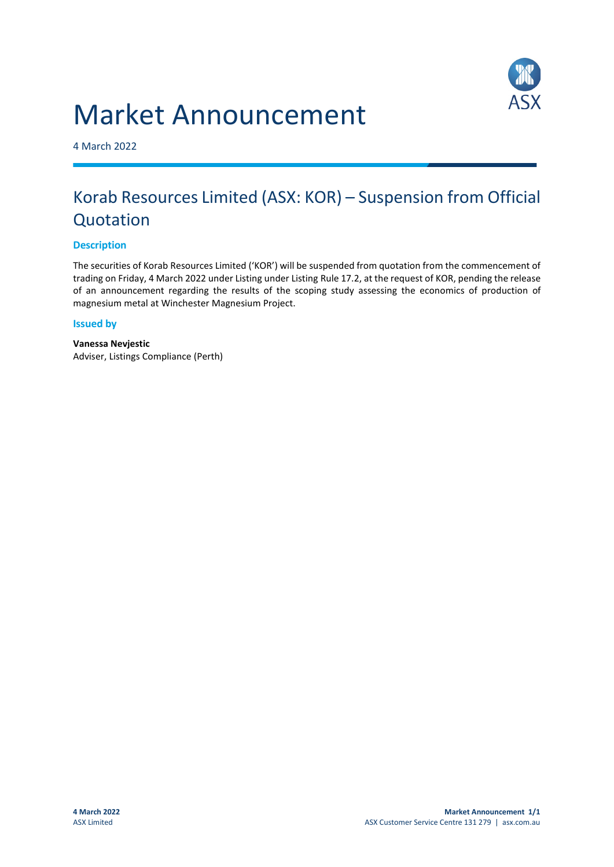



4 March 2022

## Korab Resources Limited (ASX: KOR) – Suspension from Official Quotation

## **Description**

The securities of Korab Resources Limited ('KOR') will be suspended from quotation from the commencement of trading on Friday, 4 March 2022 under Listing under Listing Rule 17.2, at the request of KOR, pending the release of an announcement regarding the results of the scoping study assessing the economics of production of magnesium metal at Winchester Magnesium Project.

## **Issued by**

**Vanessa Nevjestic** Adviser, Listings Compliance (Perth)